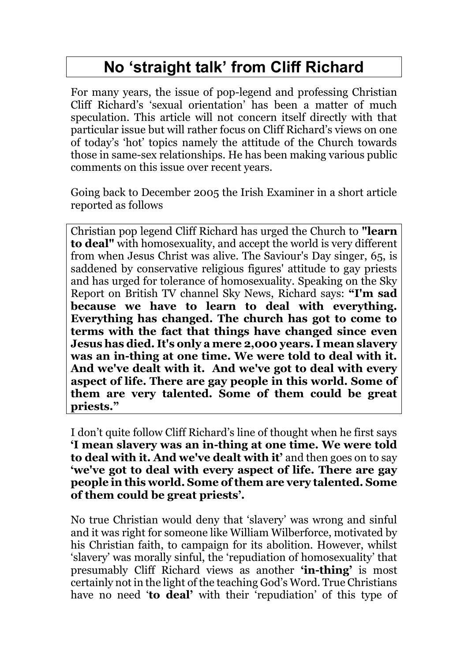## **No 'straight talk' from Cliff Richard**

For many years, the issue of pop-legend and professing Christian Cliff Richard's 'sexual orientation' has been a matter of much speculation. This article will not concern itself directly with that particular issue but will rather focus on Cliff Richard's views on one of today's 'hot' topics namely the attitude of the Church towards those in same-sex relationships. He has been making various public comments on this issue over recent years.

Going back to December 2005 the Irish Examiner in a short article reported as follows

Christian pop legend Cliff Richard has urged the Church to **"learn to deal"** with homosexuality, and accept the world is very different from when Jesus Christ was alive. The Saviour's Day singer, 65, is saddened by conservative religious figures' attitude to gay priests and has urged for tolerance of homosexuality. Speaking on the Sky Report on British TV channel Sky News, Richard says: **"I'm sad because we have to learn to deal with everything. Everything has changed. The church has got to come to terms with the fact that things have changed since even Jesus has died. It's only a mere 2,000 years. I mean slavery was an in-thing at one time. We were told to deal with it. And we've dealt with it. And we've got to deal with every aspect of life. There are gay people in this world. Some of them are very talented. Some of them could be great priests."**

I don't quite follow Cliff Richard's line of thought when he first says **'I mean slavery was an in-thing at one time. We were told to deal with it. And we've dealt with it'** and then goes on to say **'we've got to deal with every aspect of life. There are gay people in this world. Some of them are very talented. Some of them could be great priests'.** 

No true Christian would deny that 'slavery' was wrong and sinful and it was right for someone like William Wilberforce, motivated by his Christian faith, to campaign for its abolition. However, whilst 'slavery' was morally sinful, the 'repudiation of homosexuality' that presumably Cliff Richard views as another **'in-thing'** is most certainly not in the light of the teaching God's Word. True Christians have no need '**to deal'** with their 'repudiation' of this type of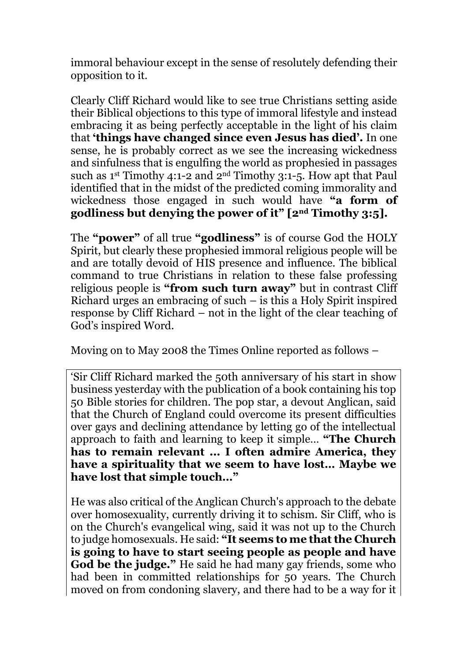immoral behaviour except in the sense of resolutely defending their opposition to it.

Clearly Cliff Richard would like to see true Christians setting aside their Biblical objections to this type of immoral lifestyle and instead embracing it as being perfectly acceptable in the light of his claim that **'things have changed since even Jesus has died'.** In one sense, he is probably correct as we see the increasing wickedness and sinfulness that is engulfing the world as prophesied in passages such as 1st Timothy 4:1-2 and 2nd Timothy 3:1-5. How apt that Paul identified that in the midst of the predicted coming immorality and wickedness those engaged in such would have **"a form of godliness but denying the power of it" [2nd Timothy 3:5].** 

The **"power"** of all true **"godliness"** is of course God the HOLY Spirit, but clearly these prophesied immoral religious people will be and are totally devoid of HIS presence and influence. The biblical command to true Christians in relation to these false professing religious people is **"from such turn away"** but in contrast Cliff Richard urges an embracing of such  $-$  is this a Holy Spirit inspired response by Cliff Richard – not in the light of the clear teaching of God's inspired Word.

Moving on to May 2008 the Times Online reported as follows –

'Sir Cliff Richard marked the 50th anniversary of his start in show business yesterday with the publication of a book containing his top 50 Bible stories for children. The pop star, a devout Anglican, said that the Church of England could overcome its present difficulties over gays and declining attendance by letting go of the intellectual approach to faith and learning to keep it simple… **"The Church has to remain relevant ... I often admire America, they have a spirituality that we seem to have lost… Maybe we have lost that simple touch…"**

He was also critical of the Anglican Church's approach to the debate over homosexuality, currently driving it to schism. Sir Cliff, who is on the Church's evangelical wing, said it was not up to the Church to judge homosexuals. He said: **"It seems to me that the Church is going to have to start seeing people as people and have God be the judge."** He said he had many gay friends, some who had been in committed relationships for 50 years. The Church moved on from condoning slavery, and there had to be a way for it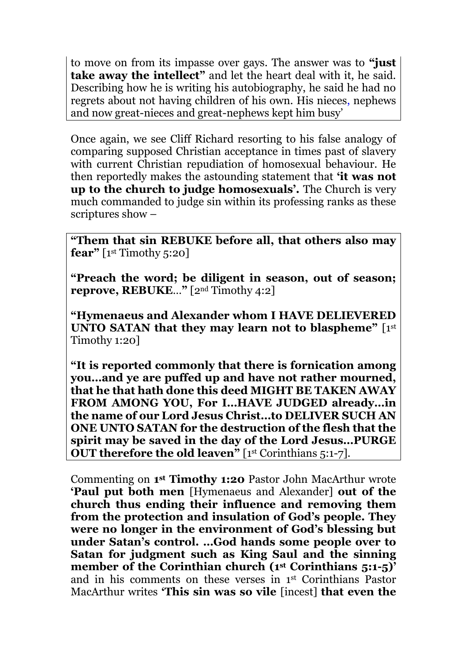to move on from its impasse over gays. The answer was to **"just take away the intellect"** and let the heart deal with it, he said. Describing how he is writing his autobiography, he said he had no regrets about not having children of his own. His nieces, nephews and now great-nieces and great-nephews kept him busy'

Once again, we see Cliff Richard resorting to his false analogy of comparing supposed Christian acceptance in times past of slavery with current Christian repudiation of homosexual behaviour. He then reportedly makes the astounding statement that **'it was not up to the church to judge homosexuals'.** The Church is very much commanded to judge sin within its professing ranks as these scriptures show –

**"Them that sin REBUKE before all, that others also may fear**" [1st Timothy 5:20]

**"Preach the word; be diligent in season, out of season; reprove, REBUKE**…**"** [2nd Timothy 4:2]

**"Hymenaeus and Alexander whom I HAVE DELIEVERED UNTO SATAN that they may learn not to blaspheme"** [1st] Timothy 1:20]

**"It is reported commonly that there is fornication among you…and ye are puffed up and have not rather mourned, that he that hath done this deed MIGHT BE TAKEN AWAY FROM AMONG YOU, For I…HAVE JUDGED already…in the name of our Lord Jesus Christ…to DELIVER SUCH AN ONE UNTO SATAN for the destruction of the flesh that the spirit may be saved in the day of the Lord Jesus…PURGE OUT therefore the old leaven**" [1st Corinthians 5:1-7].

Commenting on **1 st Timothy 1:20** Pastor John MacArthur wrote **'Paul put both men** [Hymenaeus and Alexander] **out of the church thus ending their influence and removing them from the protection and insulation of God's people. They were no longer in the environment of God's blessing but under Satan's control. …God hands some people over to Satan for judgment such as King Saul and the sinning member of the Corinthian church (1st Corinthians 5:1-5)'**  and in his comments on these verses in 1st Corinthians Pastor MacArthur writes **'This sin was so vile** [incest] **that even the**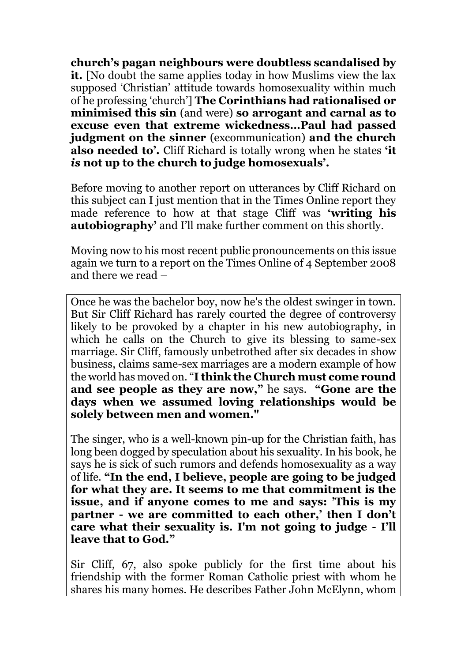**church's pagan neighbours were doubtless scandalised by it.** [No doubt the same applies today in how Muslims view the lax supposed 'Christian' attitude towards homosexuality within much of he professing 'church'] **The Corinthians had rationalised or minimised this sin** (and were) **so arrogant and carnal as to excuse even that extreme wickedness…Paul had passed judgment on the sinner** (excommunication) **and the church also needed to'.** Cliff Richard is totally wrong when he states **'it**  *is* **not up to the church to judge homosexuals'.**

Before moving to another report on utterances by Cliff Richard on this subject can I just mention that in the Times Online report they made reference to how at that stage Cliff was **'writing his autobiography'** and I'll make further comment on this shortly.

Moving now to his most recent public pronouncements on this issue again we turn to a report on the Times Online of 4 September 2008 and there we read –

Once he was the bachelor boy, now he's the oldest swinger in town. But Sir Cliff Richard has rarely courted the degree of controversy likely to be provoked by a chapter in his new autobiography, in which he calls on the Church to give its blessing to same-sex marriage. Sir Cliff, famously unbetrothed after six decades in show business, claims same-sex marriages are a modern example of how the world has moved on. "**I think the Church must come round and see people as they are now,"** he says. **"Gone are the days when we assumed loving relationships would be solely between men and women."**

The singer, who is a well-known pin-up for the Christian faith, has long been dogged by speculation about his sexuality. In his book, he says he is sick of such rumors and defends homosexuality as a way of life. **"In the end, I believe, people are going to be judged for what they are. It seems to me that commitment is the issue, and if anyone comes to me and says: 'This is my partner - we are committed to each other,' then I don't care what their sexuality is. I'm not going to judge - I'll leave that to God."**

Sir Cliff, 67, also spoke publicly for the first time about his friendship with the former Roman Catholic priest with whom he shares his many homes. He describes Father John McElynn, whom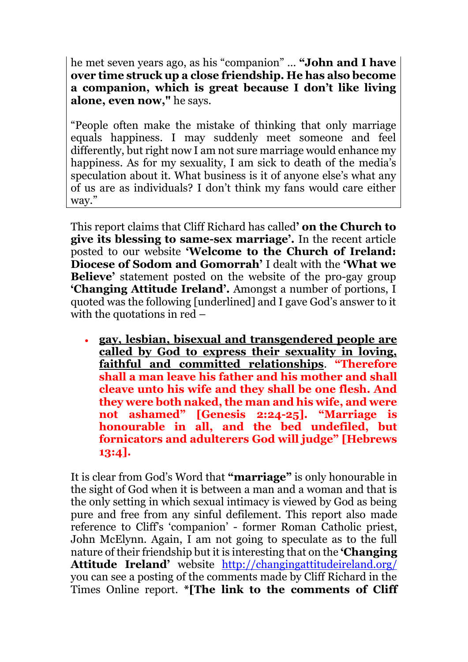he met seven years ago, as his "companion" … **"John and I have over time struck up a close friendship. He has also become a companion, which is great because I don't like living alone, even now,"** he says.

"People often make the mistake of thinking that only marriage equals happiness. I may suddenly meet someone and feel differently, but right now I am not sure marriage would enhance my happiness. As for my sexuality, I am sick to death of the media's speculation about it. What business is it of anyone else's what any of us are as individuals? I don't think my fans would care either way."

This report claims that Cliff Richard has called**' on the Church to give its blessing to same-sex marriage'.** In the recent article posted to our website **'Welcome to the Church of Ireland: Diocese of Sodom and Gomorrah'** I dealt with the **'What we Believe**' statement posted on the website of the pro-gay group **'Changing Attitude Ireland'.** Amongst a number of portions, I quoted was the following [underlined] and I gave God's answer to it with the quotations in red –

 **gay, lesbian, bisexual and transgendered people are called by God to express their sexuality in loving, faithful and committed relationships**. **"Therefore shall a man leave his father and his mother and shall cleave unto his wife and they shall be one flesh. And they were both naked, the man and his wife, and were not ashamed" [Genesis 2:24-25]. "Marriage is honourable in all, and the bed undefiled, but fornicators and adulterers God will judge" [Hebrews 13:4].**

It is clear from God's Word that **"marriage"** is only honourable in the sight of God when it is between a man and a woman and that is the only setting in which sexual intimacy is viewed by God as being pure and free from any sinful defilement. This report also made reference to Cliff's 'companion' - former Roman Catholic priest, John McElynn. Again, I am not going to speculate as to the full nature of their friendship but it is interesting that on the **'Changing Attitude Ireland'** website <http://changingattitudeireland.org/> you can see a posting of the comments made by Cliff Richard in the Times Online report. **\*[The link to the comments of Cliff**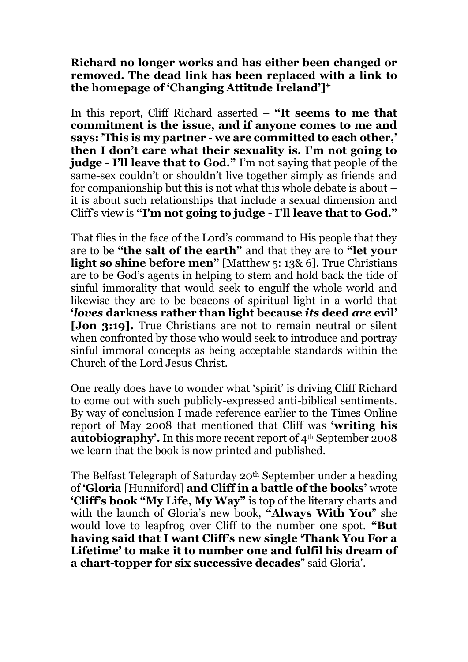**Richard no longer works and has either been changed or removed. The dead link has been replaced with a link to the homepage of 'Changing Attitude Ireland']\***

In this report, Cliff Richard asserted – **"It seems to me that commitment is the issue, and if anyone comes to me and says: 'This is my partner - we are committed to each other,' then I don't care what their sexuality is. I'm not going to judge - I'll leave that to God."** I'm not saying that people of the same-sex couldn't or shouldn't live together simply as friends and for companionship but this is not what this whole debate is about – it is about such relationships that include a sexual dimension and Cliff's view is **"I'm not going to judge - I'll leave that to God."**

That flies in the face of the Lord's command to His people that they are to be **"the salt of the earth"** and that they are to **"let your light so shine before men"** [Matthew 5: 13& 6]. True Christians are to be God's agents in helping to stem and hold back the tide of sinful immorality that would seek to engulf the whole world and likewise they are to be beacons of spiritual light in a world that **'***loves* **darkness rather than light because** *its* **deed** *are* **evil' [Jon 3:19].** True Christians are not to remain neutral or silent when confronted by those who would seek to introduce and portray sinful immoral concepts as being acceptable standards within the Church of the Lord Jesus Christ.

One really does have to wonder what 'spirit' is driving Cliff Richard to come out with such publicly-expressed anti-biblical sentiments. By way of conclusion I made reference earlier to the Times Online report of May 2008 that mentioned that Cliff was **'writing his autobiography'.** In this more recent report of 4<sup>th</sup> September 2008 we learn that the book is now printed and published.

The Belfast Telegraph of Saturday 20<sup>th</sup> September under a heading of **'Gloria** [Hunniford] **and Cliff in a battle of the books'** wrote **'Cliff's book "My Life, My Way"** is top of the literary charts and with the launch of Gloria's new book, **"Always With You**" she would love to leapfrog over Cliff to the number one spot. **"But having said that I want Cliff's new single 'Thank You For a Lifetime' to make it to number one and fulfil his dream of a chart-topper for six successive decades**" said Gloria'.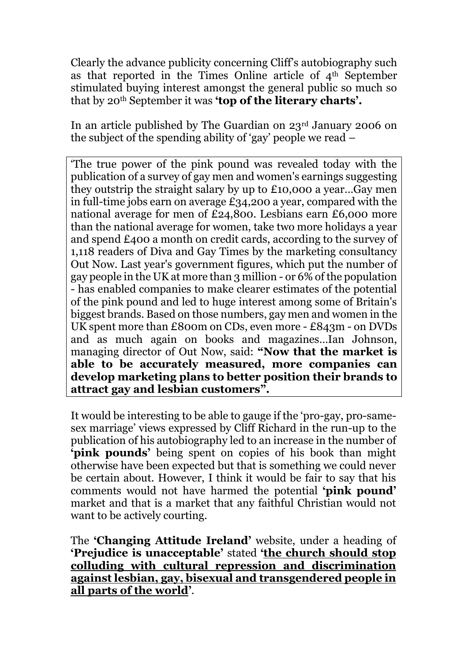Clearly the advance publicity concerning Cliff's autobiography such as that reported in the Times Online article of  $4<sup>th</sup>$  September stimulated buying interest amongst the general public so much so that by 20th September it was **'top of the literary charts'.** 

In an article published by The Guardian on 23rd January 2006 on the subject of the spending ability of 'gay' people we read –

'The true power of the pink pound was revealed today with the publication of a survey of gay men and women's earnings suggesting they outstrip the straight salary by up to £10,000 a year…Gay men in full-time jobs earn on average £34,200 a year, compared with the national average for men of £24,800. Lesbians earn £6,000 more than the national average for women, take two more holidays a year and spend £400 a month on credit cards, according to the survey of 1,118 readers of Diva and Gay Times by the marketing consultancy Out Now. Last year's government figures, which put the number of gay people in the UK at more than 3 million - or 6% of the population - has enabled companies to make clearer estimates of the potential of the pink pound and led to huge interest among some of Britain's biggest brands. Based on those numbers, gay men and women in the UK spent more than £800m on CDs, even more - £843m - on DVDs and as much again on books and magazines…Ian Johnson, managing director of Out Now, said: **"Now that the market is able to be accurately measured, more companies can develop marketing plans to better position their brands to attract gay and lesbian customers".**

It would be interesting to be able to gauge if the 'pro-gay, pro-samesex marriage' views expressed by Cliff Richard in the run-up to the publication of his autobiography led to an increase in the number of **'pink pounds'** being spent on copies of his book than might otherwise have been expected but that is something we could never be certain about. However, I think it would be fair to say that his comments would not have harmed the potential **'pink pound'**  market and that is a market that any faithful Christian would not want to be actively courting.

The **'Changing Attitude Ireland'** website, under a heading of **'Prejudice is unacceptable'** stated **'the church should stop colluding with cultural repression and discrimination against lesbian, gay, bisexual and transgendered people in all parts of the world'**.